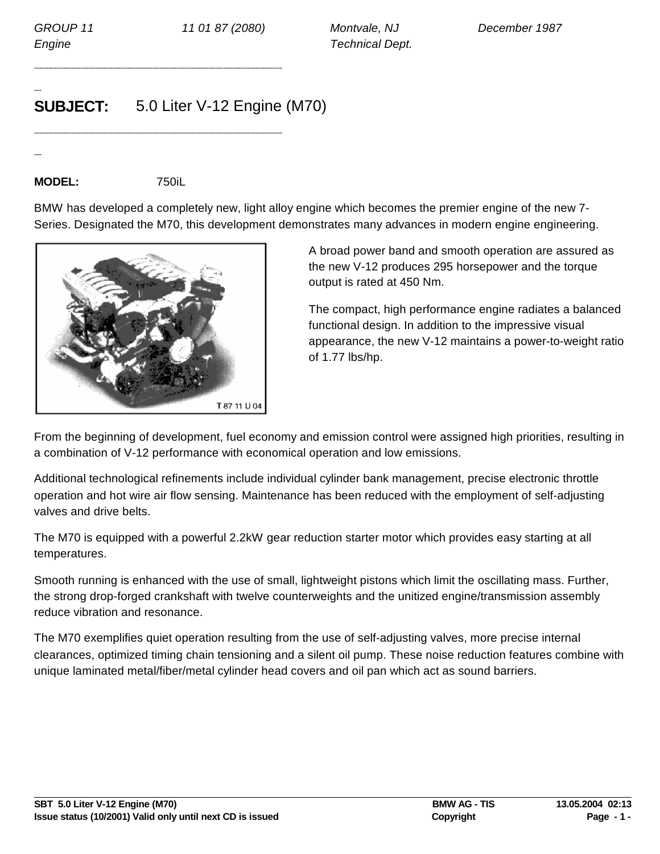---

---

*Engine Technical Dept.*

## **SUBJECT:** 5.0 Liter V-12 Engine (M70)

-----------------------------------------------------------------------------------------------------

-----------------------------------------------------------------------------------------------------

## **MODEL:** 750iL

BMW has developed a completely new, light alloy engine which becomes the premier engine of the new 7- Series. Designated the M70, this development demonstrates many advances in modern engine engineering.



A broad power band and smooth operation are assured as the new V-12 produces 295 horsepower and the torque output is rated at 450 Nm.

The compact, high performance engine radiates a balanced functional design. In addition to the impressive visual appearance, the new V-12 maintains a power-to-weight ratio of 1.77 lbs/hp.

From the beginning of development, fuel economy and emission control were assigned high priorities, resulting in a combination of V-12 performance with economical operation and low emissions.

Additional technological refinements include individual cylinder bank management, precise electronic throttle operation and hot wire air flow sensing. Maintenance has been reduced with the employment of self-adjusting valves and drive belts.

The M70 is equipped with a powerful 2.2kW gear reduction starter motor which provides easy starting at all temperatures.

Smooth running is enhanced with the use of small, lightweight pistons which limit the oscillating mass. Further, the strong drop-forged crankshaft with twelve counterweights and the unitized engine/transmission assembly reduce vibration and resonance.

The M70 exemplifies quiet operation resulting from the use of self-adjusting valves, more precise internal clearances, optimized timing chain tensioning and a silent oil pump. These noise reduction features combine with unique laminated metal/fiber/metal cylinder head covers and oil pan which act as sound barriers.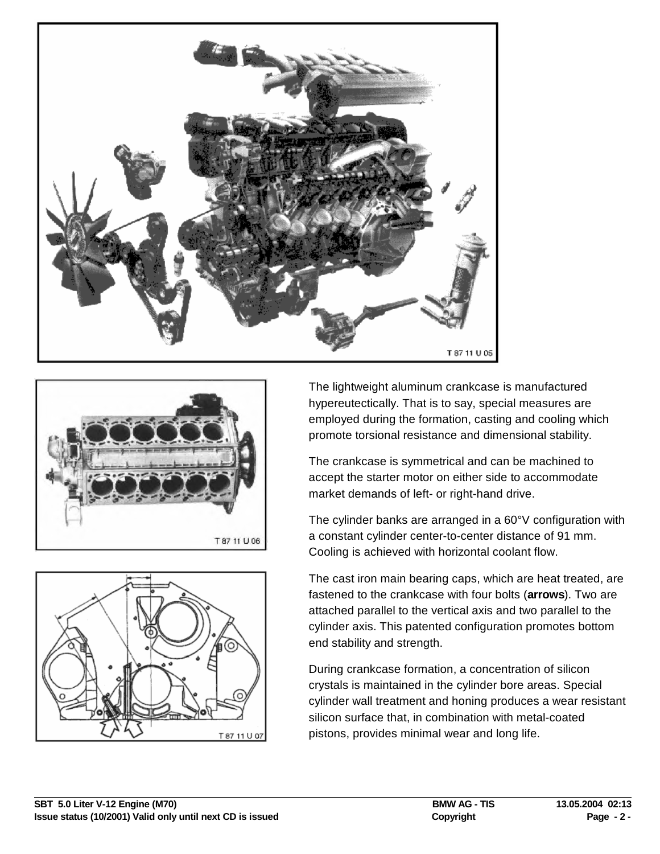





The lightweight aluminum crankcase is manufactured hypereutectically. That is to say, special measures are employed during the formation, casting and cooling which promote torsional resistance and dimensional stability.

The crankcase is symmetrical and can be machined to accept the starter motor on either side to accommodate market demands of left- or right-hand drive.

The cylinder banks are arranged in a 60°V configuration with a constant cylinder center-to-center distance of 91 mm. Cooling is achieved with horizontal coolant flow.

The cast iron main bearing caps, which are heat treated, are fastened to the crankcase with four bolts (**arrows**). Two are attached parallel to the vertical axis and two parallel to the cylinder axis. This patented configuration promotes bottom end stability and strength.

During crankcase formation, a concentration of silicon crystals is maintained in the cylinder bore areas. Special cylinder wall treatment and honing produces a wear resistant silicon surface that, in combination with metal-coated pistons, provides minimal wear and long life.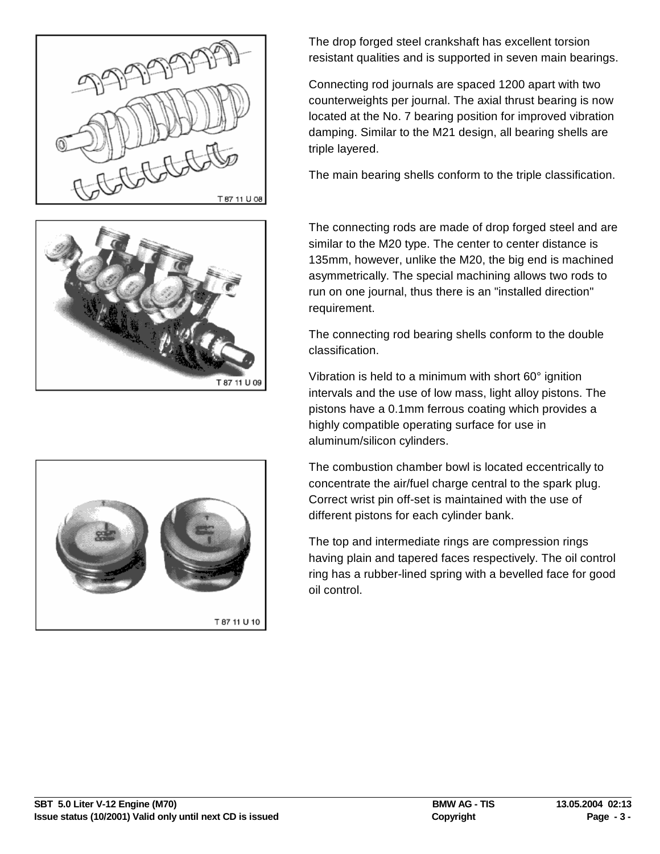





The drop forged steel crankshaft has excellent torsion resistant qualities and is supported in seven main bearings.

Connecting rod journals are spaced 1200 apart with two counterweights per journal. The axial thrust bearing is now located at the No. 7 bearing position for improved vibration damping. Similar to the M21 design, all bearing shells are triple layered.

The main bearing shells conform to the triple classification.

The connecting rods are made of drop forged steel and are similar to the M20 type. The center to center distance is 135mm, however, unlike the M20, the big end is machined asymmetrically. The special machining allows two rods to run on one journal, thus there is an "installed direction" requirement.

The connecting rod bearing shells conform to the double classification.

Vibration is held to a minimum with short 60° ignition intervals and the use of low mass, light alloy pistons. The pistons have a 0.1mm ferrous coating which provides a highly compatible operating surface for use in aluminum/silicon cylinders.

The combustion chamber bowl is located eccentrically to concentrate the air/fuel charge central to the spark plug. Correct wrist pin off-set is maintained with the use of different pistons for each cylinder bank.

The top and intermediate rings are compression rings having plain and tapered faces respectively. The oil control ring has a rubber-lined spring with a bevelled face for good oil control.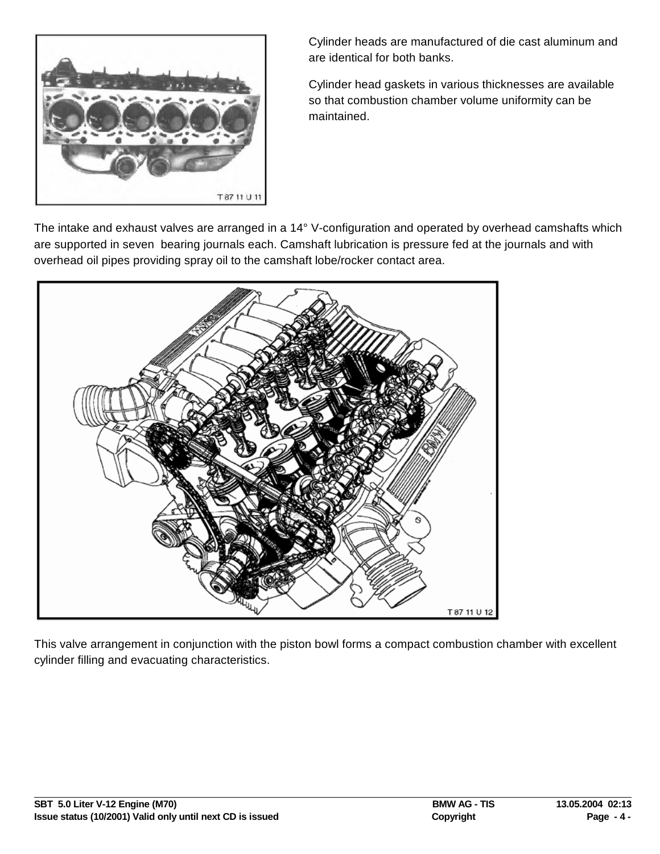

Cylinder heads are manufactured of die cast aluminum and are identical for both banks.

Cylinder head gaskets in various thicknesses are available so that combustion chamber volume uniformity can be maintained.

The intake and exhaust valves are arranged in a 14° V-configuration and operated by overhead camshafts which are supported in seven bearing journals each. Camshaft lubrication is pressure fed at the journals and with overhead oil pipes providing spray oil to the camshaft lobe/rocker contact area.



This valve arrangement in conjunction with the piston bowl forms a compact combustion chamber with excellent cylinder filling and evacuating characteristics.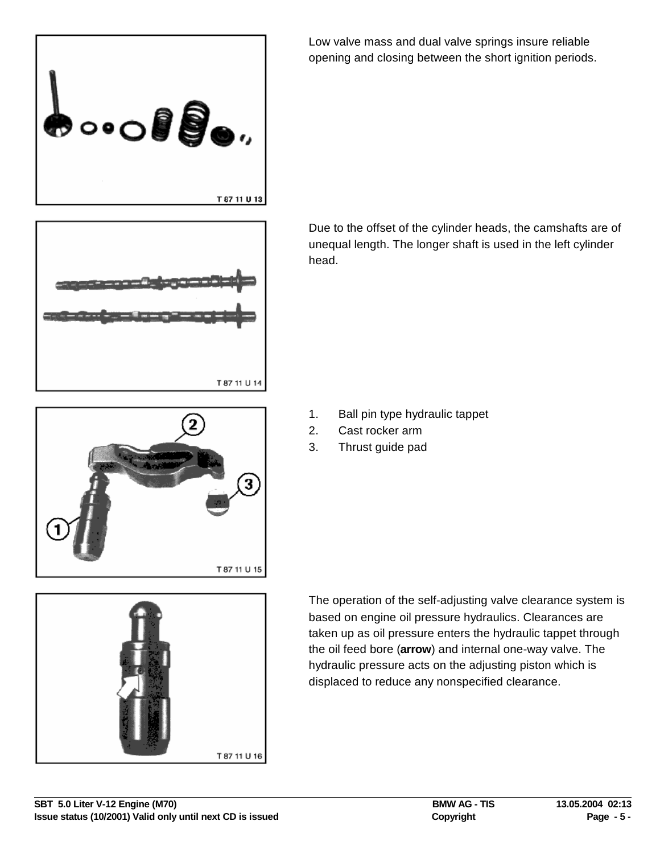

Low valve mass and dual valve springs insure reliable opening and closing between the short ignition periods.



Due to the offset of the cylinder heads, the camshafts are of unequal length. The longer shaft is used in the left cylinder head.

- 1. Ball pin type hydraulic tappet
- 2. Cast rocker arm
- 3. Thrust guide pad





The operation of the self-adjusting valve clearance system is based on engine oil pressure hydraulics. Clearances are taken up as oil pressure enters the hydraulic tappet through the oil feed bore (**arrow**) and internal one-way valve. The hydraulic pressure acts on the adjusting piston which is displaced to reduce any nonspecified clearance.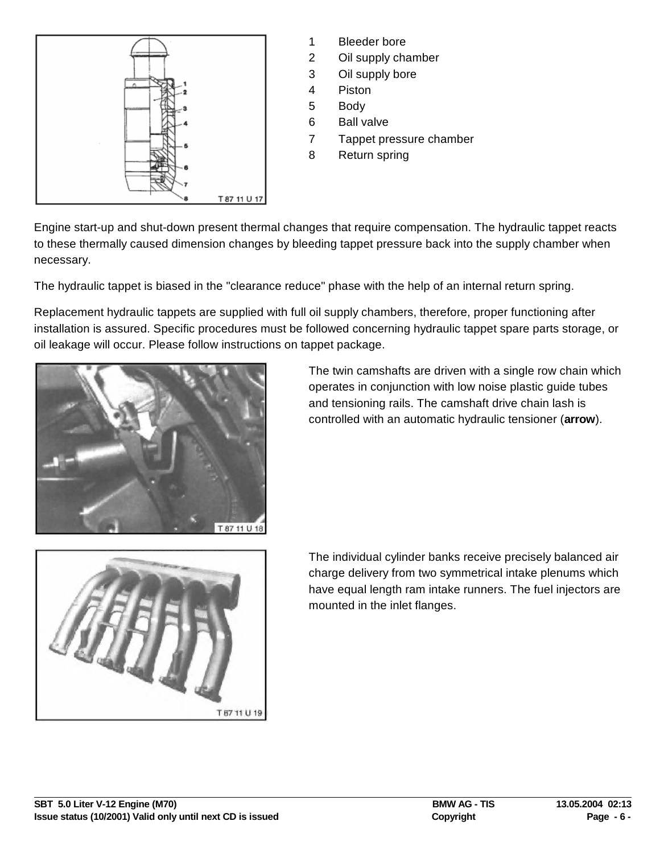

- 1 Bleeder bore
- 2 Oil supply chamber
- 3 Oil supply bore
- 4 Piston
- 5 Body
- 6 Ball valve
- 7 Tappet pressure chamber
- 8 Return spring

Engine start-up and shut-down present thermal changes that require compensation. The hydraulic tappet reacts to these thermally caused dimension changes by bleeding tappet pressure back into the supply chamber when necessary.

The hydraulic tappet is biased in the "clearance reduce" phase with the help of an internal return spring.

Replacement hydraulic tappets are supplied with full oil supply chambers, therefore, proper functioning after installation is assured. Specific procedures must be followed concerning hydraulic tappet spare parts storage, or oil leakage will occur. Please follow instructions on tappet package.



The twin camshafts are driven with a single row chain which operates in conjunction with low noise plastic guide tubes and tensioning rails. The camshaft drive chain lash is controlled with an automatic hydraulic tensioner (**arrow**).



The individual cylinder banks receive precisely balanced air charge delivery from two symmetrical intake plenums which have equal length ram intake runners. The fuel injectors are mounted in the inlet flanges.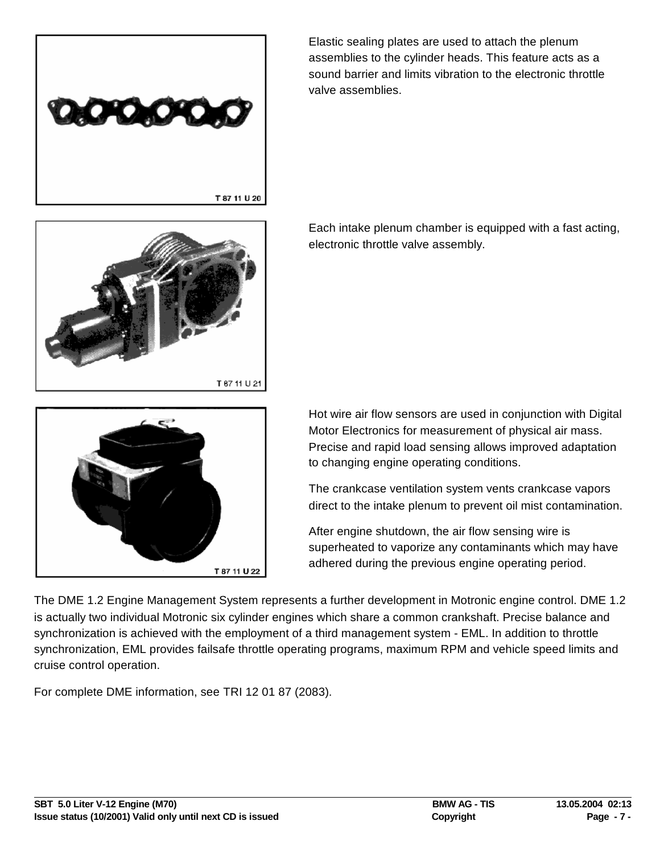

Elastic sealing plates are used to attach the plenum assemblies to the cylinder heads. This feature acts as a sound barrier and limits vibration to the electronic throttle valve assemblies.



Each intake plenum chamber is equipped with a fast acting, electronic throttle valve assembly.



Hot wire air flow sensors are used in conjunction with Digital Motor Electronics for measurement of physical air mass. Precise and rapid load sensing allows improved adaptation to changing engine operating conditions.

The crankcase ventilation system vents crankcase vapors direct to the intake plenum to prevent oil mist contamination.

After engine shutdown, the air flow sensing wire is superheated to vaporize any contaminants which may have adhered during the previous engine operating period.

The DME 1.2 Engine Management System represents a further development in Motronic engine control. DME 1.2 is actually two individual Motronic six cylinder engines which share a common crankshaft. Precise balance and synchronization is achieved with the employment of a third management system - EML. In addition to throttle synchronization, EML provides failsafe throttle operating programs, maximum RPM and vehicle speed limits and cruise control operation.

For complete DME information, see TRI 12 01 87 (2083).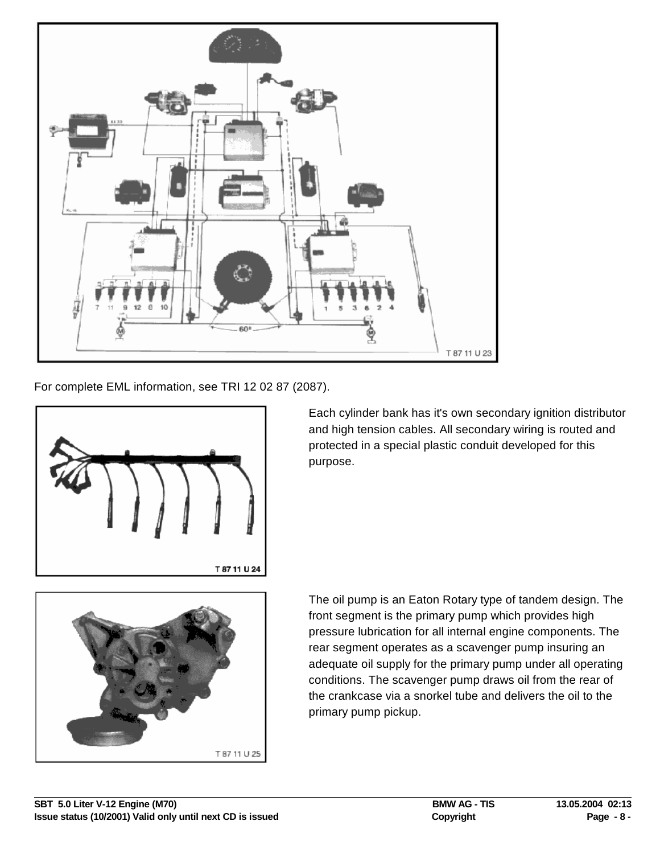

For complete EML information, see TRI 12 02 87 (2087).



Each cylinder bank has it's own secondary ignition distributor and high tension cables. All secondary wiring is routed and protected in a special plastic conduit developed for this purpose.



The oil pump is an Eaton Rotary type of tandem design. The front segment is the primary pump which provides high pressure lubrication for all internal engine components. The rear segment operates as a scavenger pump insuring an adequate oil supply for the primary pump under all operating conditions. The scavenger pump draws oil from the rear of the crankcase via a snorkel tube and delivers the oil to the primary pump pickup.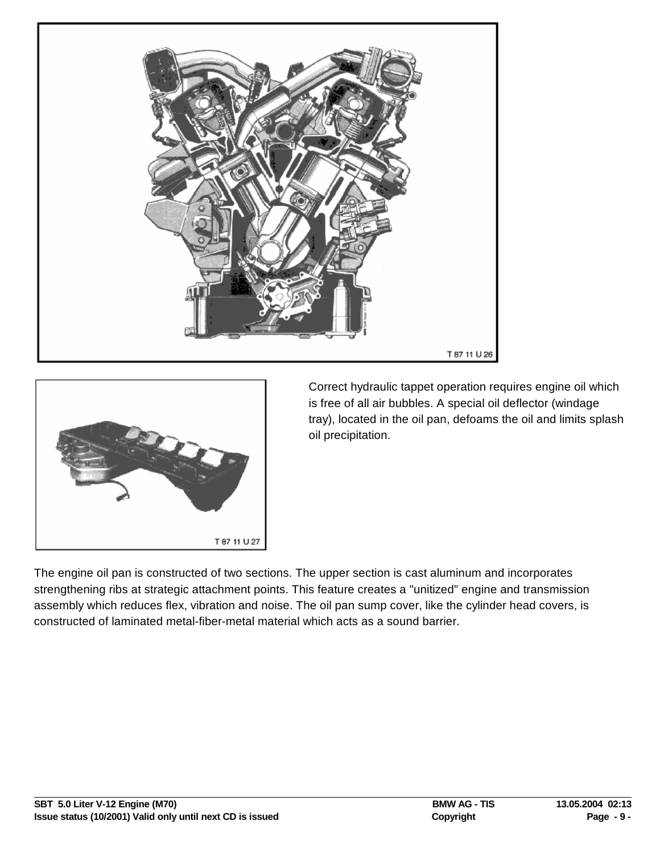



Correct hydraulic tappet operation requires engine oil which is free of all air bubbles. A special oil deflector (windage tray), located in the oil pan, defoams the oil and limits splash oil precipitation.

The engine oil pan is constructed of two sections. The upper section is cast aluminum and incorporates strengthening ribs at strategic attachment points. This feature creates a "unitized" engine and transmission assembly which reduces flex, vibration and noise. The oil pan sump cover, like the cylinder head covers, is constructed of laminated metal-fiber-metal material which acts as a sound barrier.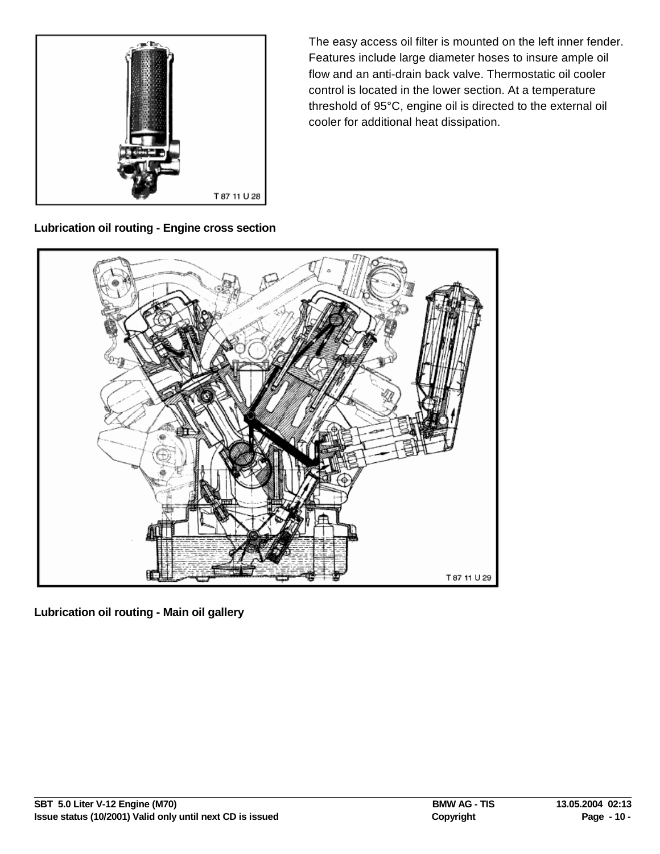

The easy access oil filter is mounted on the left inner fender. Features include large diameter hoses to insure ample oil flow and an anti-drain back valve. Thermostatic oil cooler control is located in the lower section. At a temperature threshold of 95°C, engine oil is directed to the external oil cooler for additional heat dissipation.

**Lubrication oil routing - Engine cross section**



**Lubrication oil routing - Main oil gallery**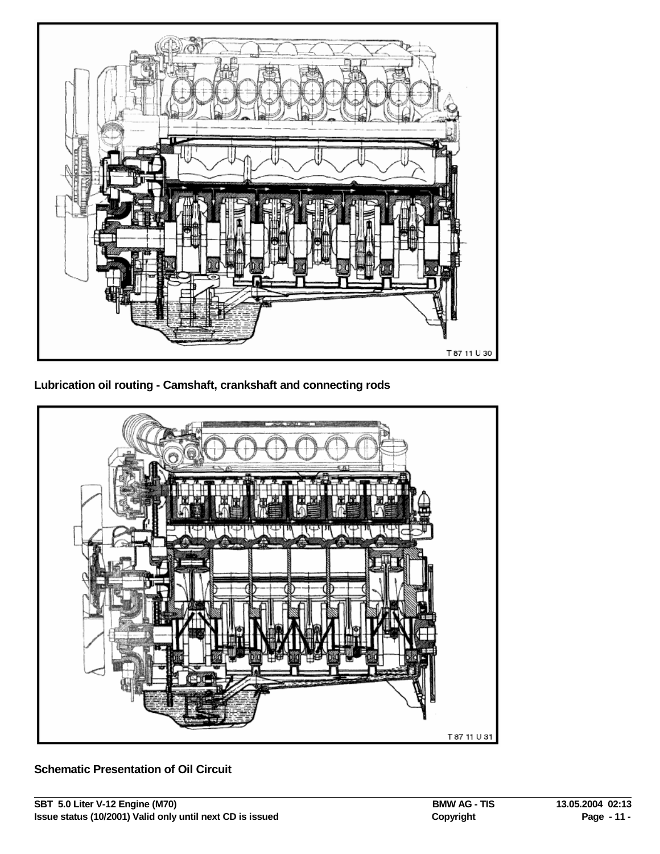

**Lubrication oil routing - Camshaft, crankshaft and connecting rods**



**Schematic Presentation of Oil Circuit**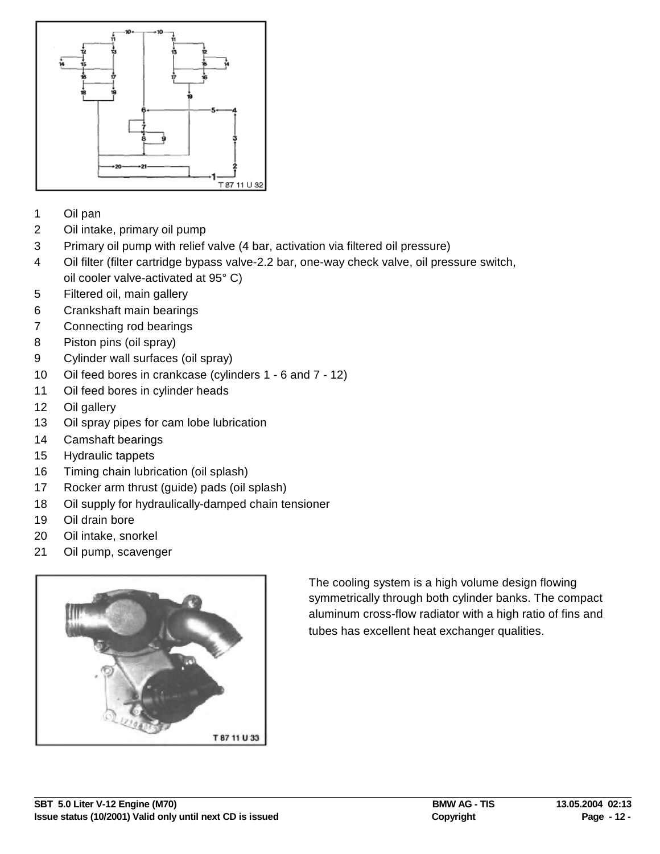

- Oil pan
- Oil intake, primary oil pump
- Primary oil pump with relief valve (4 bar, activation via filtered oil pressure)
- Oil filter (filter cartridge bypass valve-2.2 bar, one-way check valve, oil pressure switch, oil cooler valve-activated at 95° C)
- Filtered oil, main gallery
- Crankshaft main bearings
- Connecting rod bearings
- Piston pins (oil spray)
- Cylinder wall surfaces (oil spray)
- Oil feed bores in crankcase (cylinders 1 6 and 7 12)
- Oil feed bores in cylinder heads
- Oil gallery
- Oil spray pipes for cam lobe lubrication
- Camshaft bearings
- Hydraulic tappets
- Timing chain lubrication (oil splash)
- Rocker arm thrust (guide) pads (oil splash)
- Oil supply for hydraulically-damped chain tensioner
- Oil drain bore
- Oil intake, snorkel
- Oil pump, scavenger



The cooling system is a high volume design flowing symmetrically through both cylinder banks. The compact aluminum cross-flow radiator with a high ratio of fins and tubes has excellent heat exchanger qualities.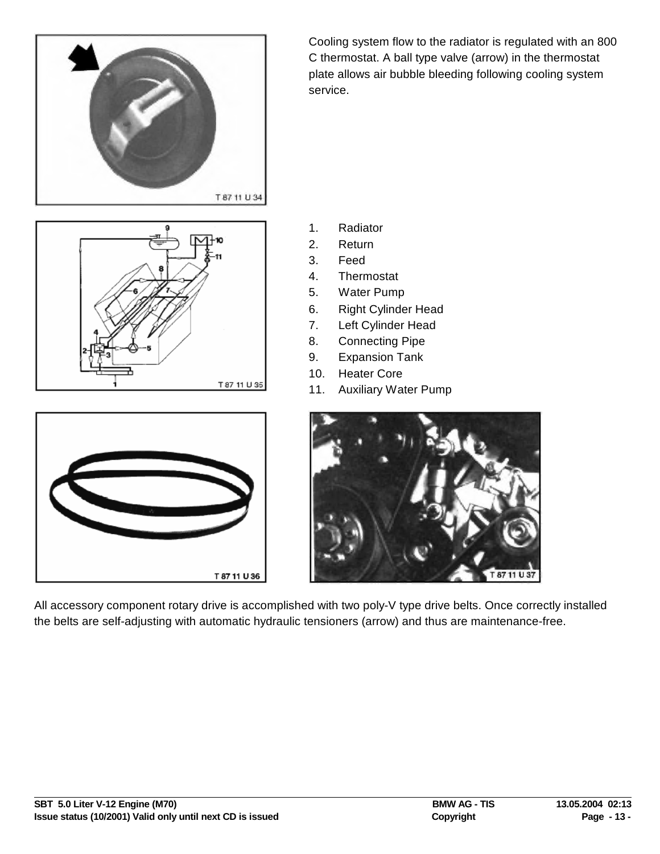

Cooling system flow to the radiator is regulated with an 800 C thermostat. A ball type valve (arrow) in the thermostat plate allows air bubble bleeding following cooling system service.

- T 87 11 U 35
- 1. Radiator
- 2. Return
- 3. Feed
- 4. Thermostat
- 5. Water Pump
- 6. Right Cylinder Head
- 7. Left Cylinder Head
- 8. Connecting Pipe
- 9. Expansion Tank
- 10. Heater Core
- 11. Auxiliary Water Pump



T 87 11 U S7

All accessory component rotary drive is accomplished with two poly-V type drive belts. Once correctly installed the belts are self-adjusting with automatic hydraulic tensioners (arrow) and thus are maintenance-free.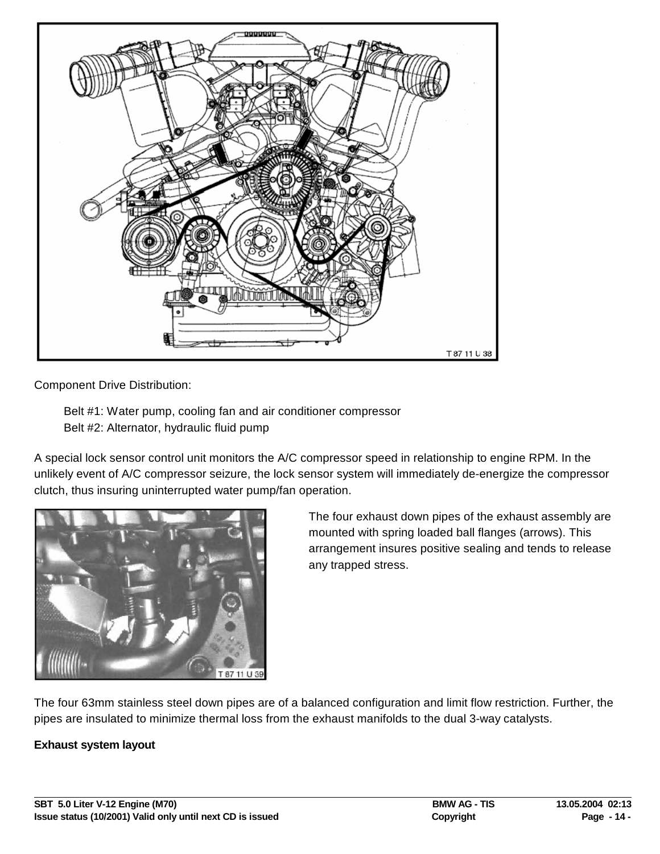

Component Drive Distribution:

Belt #1: Water pump, cooling fan and air conditioner compressor Belt #2: Alternator, hydraulic fluid pump

A special lock sensor control unit monitors the A/C compressor speed in relationship to engine RPM. In the unlikely event of A/C compressor seizure, the lock sensor system will immediately de-energize the compressor clutch, thus insuring uninterrupted water pump/fan operation.



The four exhaust down pipes of the exhaust assembly are mounted with spring loaded ball flanges (arrows). This arrangement insures positive sealing and tends to release any trapped stress.

The four 63mm stainless steel down pipes are of a balanced configuration and limit flow restriction. Further, the pipes are insulated to minimize thermal loss from the exhaust manifolds to the dual 3-way catalysts.

## **Exhaust system layout**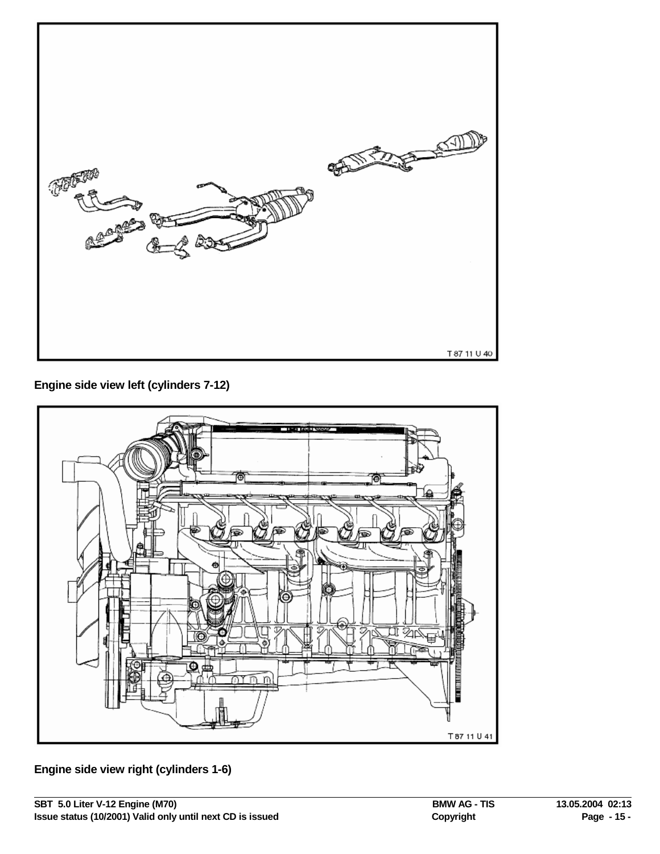

**Engine side view left (cylinders 7-12)**



**Engine side view right (cylinders 1-6)**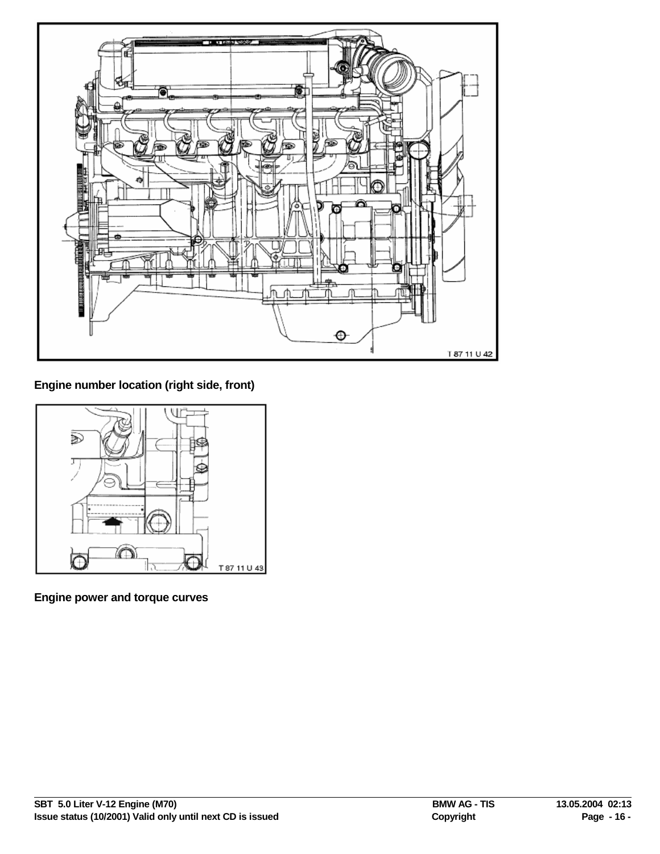

**Engine number location (right side, front)**



**Engine power and torque curves**